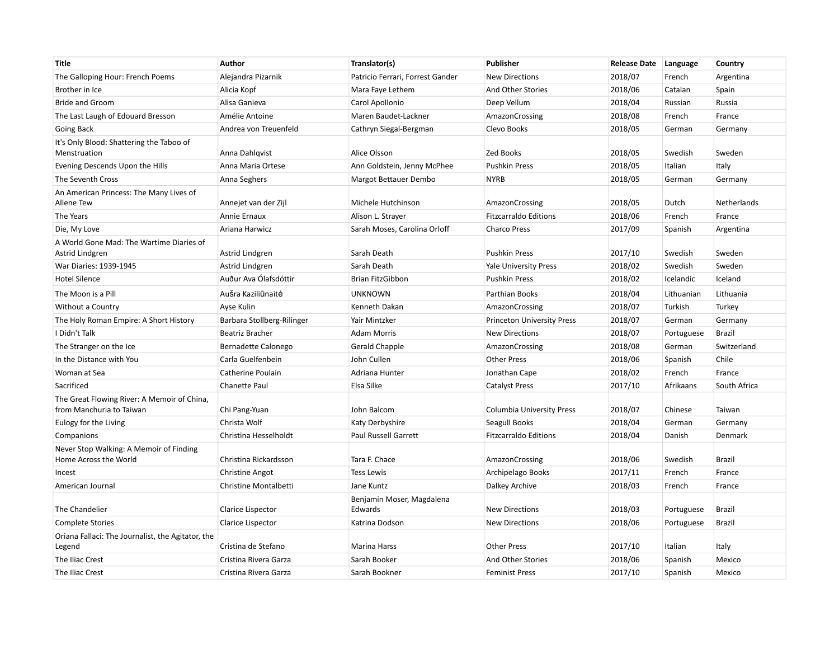| <b>Title</b>                                                            | Author                     | Translator(s)                        | Publisher                         | <b>Release Date</b> | Language   | Country       |
|-------------------------------------------------------------------------|----------------------------|--------------------------------------|-----------------------------------|---------------------|------------|---------------|
| The Galloping Hour: French Poems                                        | Alejandra Pizarnik         | Patricio Ferrari, Forrest Gander     | <b>New Directions</b>             | 2018/07             | French     | Argentina     |
| Brother in Ice                                                          | Alicia Kopf                | Mara Faye Lethem                     | And Other Stories                 | 2018/06             | Catalan    | Spain         |
| <b>Bride and Groom</b>                                                  | Alisa Ganieva              | Carol Apollonio                      | Deep Vellum                       | 2018/04             | Russian    | Russia        |
| The Last Laugh of Edouard Bresson                                       | Amélie Antoine             | Maren Baudet-Lackner                 | AmazonCrossing                    | 2018/08             | French     | France        |
| Going Back                                                              | Andrea von Treuenfeld      | Cathryn Siegal-Bergman               | Clevo Books                       | 2018/05             | German     | Germany       |
| It's Only Blood: Shattering the Taboo of<br>Menstruation                | Anna Dahlqvist             | Alice Olsson                         | <b>Zed Books</b>                  | 2018/05             | Swedish    | Sweden        |
| Evening Descends Upon the Hills                                         | Anna Maria Ortese          | Ann Goldstein, Jenny McPhee          | <b>Pushkin Press</b>              | 2018/05             | Italian    | Italy         |
| The Seventh Cross                                                       | Anna Seghers               | Margot Bettauer Dembo                | <b>NYRB</b>                       | 2018/05             | German     | Germany       |
| An American Princess: The Many Lives of<br>Allene Tew                   | Annejet van der Zijl       | Michele Hutchinson                   | AmazonCrossing                    | 2018/05             | Dutch      | Netherlands   |
| The Years                                                               | Annie Ernaux               | Alison L. Strayer                    | <b>Fitzcarraldo Editions</b>      | 2018/06             | French     | France        |
| Die, My Love                                                            | Ariana Harwicz             | Sarah Moses, Carolina Orloff         | Charco Press                      | 2017/09             | Spanish    | Argentina     |
| A World Gone Mad: The Wartime Diaries of<br>Astrid Lindgren             | Astrid Lindgren            | Sarah Death                          | <b>Pushkin Press</b>              | 2017/10             | Swedish    | Sweden        |
| War Diaries: 1939-1945                                                  | Astrid Lindgren            | Sarah Death                          | <b>Yale University Press</b>      | 2018/02             | Swedish    | Sweden        |
| <b>Hotel Silence</b>                                                    | Auður Ava Ólafsdóttir      | Brian FitzGibbon                     | <b>Pushkin Press</b>              | 2018/02             | Icelandic  | Iceland       |
| The Moon is a Pill                                                      | AuŠra Kaziliūnaitė         | <b>UNKNOWN</b>                       | Parthian Books                    | 2018/04             | Lithuanian | Lithuania     |
| Without a Country                                                       | Ayse Kulin                 | Kenneth Dakan                        | AmazonCrossing                    | 2018/07             | Turkish    | Turkey        |
| The Holy Roman Empire: A Short History                                  | Barbara Stollberg-Rilinger | Yair Mintzker                        | <b>Princeton University Press</b> | 2018/07             | German     | Germany       |
| I Didn't Talk                                                           | Beatriz Bracher            | <b>Adam Morris</b>                   | <b>New Directions</b>             | 2018/07             | Portuguese | <b>Brazil</b> |
| The Stranger on the Ice                                                 | Bernadette Calonego        | Gerald Chapple                       | AmazonCrossing                    | 2018/08             | German     | Switzerland   |
| In the Distance with You                                                | Carla Guelfenbein          | John Cullen                          | <b>Other Press</b>                | 2018/06             | Spanish    | Chile         |
| Woman at Sea                                                            | Catherine Poulain          | Adriana Hunter                       | Jonathan Cape                     | 2018/02             | French     | France        |
| Sacrificed                                                              | Chanette Paul              | Elsa Silke                           | <b>Catalyst Press</b>             | 2017/10             | Afrikaans  | South Africa  |
| The Great Flowing River: A Memoir of China,<br>from Manchuria to Taiwan | Chi Pang-Yuan              | John Balcom                          | <b>Columbia University Press</b>  | 2018/07             | Chinese    | Taiwan        |
| Eulogy for the Living                                                   | Christa Wolf               | Katy Derbyshire                      | Seagull Books                     | 2018/04             | German     | Germany       |
| Companions                                                              | Christina Hesselholdt      | <b>Paul Russell Garrett</b>          | <b>Fitzcarraldo Editions</b>      | 2018/04             | Danish     | Denmark       |
| Never Stop Walking: A Memoir of Finding<br>Home Across the World        | Christina Rickardsson      | Tara F. Chace                        | AmazonCrossing                    | 2018/06             | Swedish    | <b>Brazil</b> |
| Incest                                                                  | <b>Christine Angot</b>     | <b>Tess Lewis</b>                    | Archipelago Books                 | 2017/11             | French     | France        |
| American Journal                                                        | Christine Montalbetti      | Jane Kuntz                           | Dalkey Archive                    | 2018/03             | French     | France        |
| The Chandelier                                                          | Clarice Lispector          | Benjamin Moser, Magdalena<br>Edwards | <b>New Directions</b>             | 2018/03             | Portuguese | <b>Brazil</b> |
| <b>Complete Stories</b>                                                 | Clarice Lispector          | Katrina Dodson                       | <b>New Directions</b>             | 2018/06             | Portuguese | <b>Brazil</b> |
| Oriana Fallaci: The Journalist, the Agitator, the<br>Legend             | Cristina de Stefano        | Marina Harss                         | <b>Other Press</b>                | 2017/10             | Italian    | Italy         |
| The Iliac Crest                                                         | Cristina Rivera Garza      | Sarah Booker                         | And Other Stories                 | 2018/06             | Spanish    | Mexico        |
| The Iliac Crest                                                         | Cristina Rivera Garza      | Sarah Bookner                        | <b>Feminist Press</b>             | 2017/10             | Spanish    | Mexico        |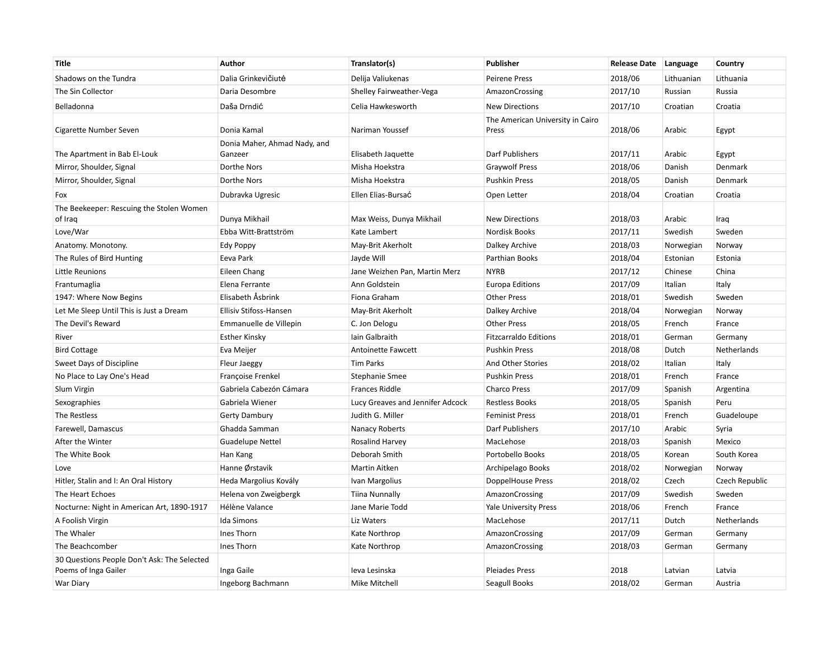| <b>Title</b>                                                        | Author                                  | Translator(s)                    | Publisher                                 | <b>Release Date</b> | Language   | Country        |
|---------------------------------------------------------------------|-----------------------------------------|----------------------------------|-------------------------------------------|---------------------|------------|----------------|
| Shadows on the Tundra                                               | Dalia Grinkevičiutė                     | Delija Valiukenas                | <b>Peirene Press</b>                      | 2018/06             | Lithuanian | Lithuania      |
| The Sin Collector                                                   | Daria Desombre                          | Shelley Fairweather-Vega         | AmazonCrossing                            | 2017/10             | Russian    | Russia         |
| Belladonna                                                          | Daša Drndić                             | Celia Hawkesworth                | <b>New Directions</b>                     | 2017/10             | Croatian   | Croatia        |
| Cigarette Number Seven                                              | Donia Kamal                             | Nariman Youssef                  | The American University in Cairo<br>Press | 2018/06             | Arabic     | Egypt          |
| The Apartment in Bab El-Louk                                        | Donia Maher, Ahmad Nady, and<br>Ganzeer | Elisabeth Jaquette               | Darf Publishers                           | 2017/11             | Arabic     | Egypt          |
| Mirror, Shoulder, Signal                                            | Dorthe Nors                             | Misha Hoekstra                   | <b>Graywolf Press</b>                     | 2018/06             | Danish     | Denmark        |
| Mirror, Shoulder, Signal                                            | Dorthe Nors                             | Misha Hoekstra                   | <b>Pushkin Press</b>                      | 2018/05             | Danish     | Denmark        |
| Fox                                                                 | Dubravka Ugresic                        | Ellen Elias-Bursać               | Open Letter                               | 2018/04             | Croatian   | Croatia        |
| The Beekeeper: Rescuing the Stolen Women<br>of Iraq                 | Dunya Mikhail                           | Max Weiss, Dunya Mikhail         | <b>New Directions</b>                     | 2018/03             | Arabic     | Iraq           |
| Love/War                                                            | Ebba Witt-Brattström                    | Kate Lambert                     | <b>Nordisk Books</b>                      | 2017/11             | Swedish    | Sweden         |
| Anatomy. Monotony.                                                  | Edy Poppy                               | May-Brit Akerholt                | Dalkey Archive                            | 2018/03             | Norwegian  | Norway         |
| The Rules of Bird Hunting                                           | Eeva Park                               | Jayde Will                       | Parthian Books                            | 2018/04             | Estonian   | Estonia        |
| Little Reunions                                                     | Eileen Chang                            | Jane Weizhen Pan, Martin Merz    | <b>NYRB</b>                               | 2017/12             | Chinese    | China          |
| Frantumaglia                                                        | Elena Ferrante                          | Ann Goldstein                    | <b>Europa Editions</b>                    | 2017/09             | Italian    | Italy          |
| 1947: Where Now Begins                                              | Elisabeth Åsbrink                       | Fiona Graham                     | <b>Other Press</b>                        | 2018/01             | Swedish    | Sweden         |
| Let Me Sleep Until This is Just a Dream                             | Ellisiv Stifoss-Hansen                  | May-Brit Akerholt                | Dalkey Archive                            | 2018/04             | Norwegian  | Norway         |
| The Devil's Reward                                                  | Emmanuelle de Villepin                  | C. Jon Delogu                    | <b>Other Press</b>                        | 2018/05             | French     | France         |
| River                                                               | <b>Esther Kinsky</b>                    | Iain Galbraith                   | <b>Fitzcarraldo Editions</b>              | 2018/01             | German     | Germany        |
| <b>Bird Cottage</b>                                                 | Eva Meijer                              | Antoinette Fawcett               | <b>Pushkin Press</b>                      | 2018/08             | Dutch      | Netherlands    |
| Sweet Days of Discipline                                            | Fleur Jaeggy                            | <b>Tim Parks</b>                 | And Other Stories                         | 2018/02             | Italian    | Italy          |
| No Place to Lay One's Head                                          | Françoise Frenkel                       | Stephanie Smee                   | <b>Pushkin Press</b>                      | 2018/01             | French     | France         |
| Slum Virgin                                                         | Gabriela Cabezón Cámara                 | <b>Frances Riddle</b>            | <b>Charco Press</b>                       | 2017/09             | Spanish    | Argentina      |
| Sexographies                                                        | Gabriela Wiener                         | Lucy Greaves and Jennifer Adcock | <b>Restless Books</b>                     | 2018/05             | Spanish    | Peru           |
| The Restless                                                        | Gerty Dambury                           | Judith G. Miller                 | <b>Feminist Press</b>                     | 2018/01             | French     | Guadeloupe     |
| Farewell, Damascus                                                  | Ghadda Samman                           | Nanacy Roberts                   | <b>Darf Publishers</b>                    | 2017/10             | Arabic     | Syria          |
| After the Winter                                                    | <b>Guadelupe Nettel</b>                 | Rosalind Harvey                  | MacLehose                                 | 2018/03             | Spanish    | Mexico         |
| The White Book                                                      | Han Kang                                | Deborah Smith                    | Portobello Books                          | 2018/05             | Korean     | South Korea    |
| Love                                                                | Hanne Ørstavik                          | Martin Aitken                    | Archipelago Books                         | 2018/02             | Norwegian  | Norway         |
| Hitler, Stalin and I: An Oral History                               | Heda Margolius Kovály                   | Ivan Margolius                   | DoppelHouse Press                         | 2018/02             | Czech      | Czech Republic |
| The Heart Echoes                                                    | Helena von Zweigbergk                   | Tiina Nunnally                   | AmazonCrossing                            | 2017/09             | Swedish    | Sweden         |
| Nocturne: Night in American Art, 1890-1917                          | Hélène Valance                          | Jane Marie Todd                  | <b>Yale University Press</b>              | 2018/06             | French     | France         |
| A Foolish Virgin                                                    | Ida Simons                              | Liz Waters                       | MacLehose                                 | 2017/11             | Dutch      | Netherlands    |
| The Whaler                                                          | Ines Thorn                              | Kate Northrop                    | AmazonCrossing                            | 2017/09             | German     | Germany        |
| The Beachcomber                                                     | Ines Thorn                              | Kate Northrop                    | AmazonCrossing                            | 2018/03             | German     | Germany        |
| 30 Questions People Don't Ask: The Selected<br>Poems of Inga Gailer | Inga Gaile                              | Ieva Lesinska                    | <b>Pleiades Press</b>                     | 2018                | Latvian    | Latvia         |
| War Diary                                                           | Ingeborg Bachmann                       | Mike Mitchell                    | Seagull Books                             | 2018/02             | German     | Austria        |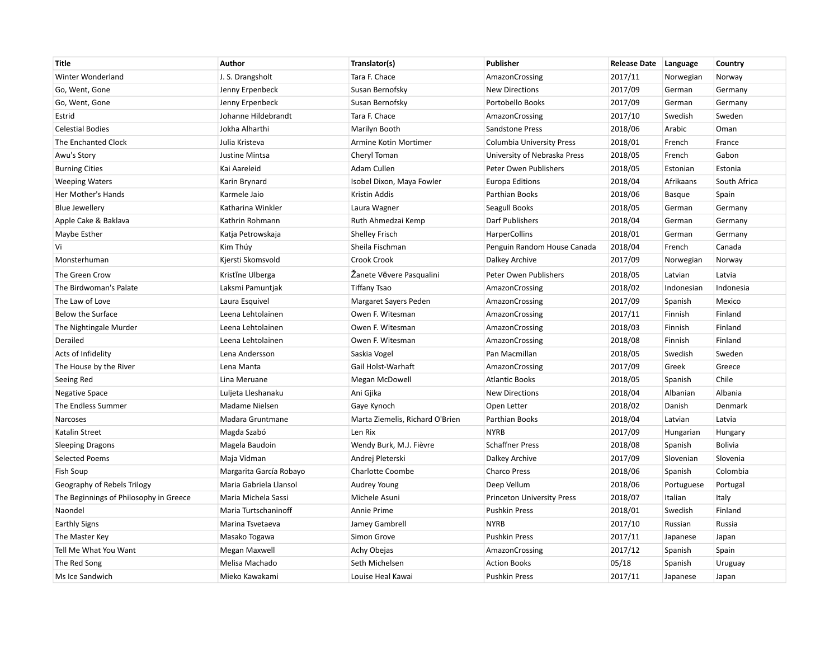| <b>Title</b>                           | Author                  | Translator(s)                   | <b>Publisher</b>                 | <b>Release Date</b> | Language      | Country        |
|----------------------------------------|-------------------------|---------------------------------|----------------------------------|---------------------|---------------|----------------|
| Winter Wonderland                      | J. S. Drangsholt        | Tara F. Chace                   | AmazonCrossing                   | 2017/11             | Norwegian     | Norway         |
| Go, Went, Gone                         | Jenny Erpenbeck         | Susan Bernofsky                 | <b>New Directions</b>            | 2017/09             | German        | Germany        |
| Go, Went, Gone                         | Jenny Erpenbeck         | Susan Bernofsky                 | Portobello Books                 | 2017/09             | German        | Germany        |
| Estrid                                 | Johanne Hildebrandt     | Tara F. Chace                   | AmazonCrossing                   | 2017/10             | Swedish       | Sweden         |
| <b>Celestial Bodies</b>                | Jokha Alharthi          | Marilyn Booth                   | Sandstone Press                  | 2018/06             | Arabic        | Oman           |
| The Enchanted Clock                    | Julia Kristeva          | Armine Kotin Mortimer           | <b>Columbia University Press</b> | 2018/01             | French        | France         |
| Awu's Story                            | Justine Mintsa          | Cheryl Toman                    | University of Nebraska Press     | 2018/05             | French        | Gabon          |
| <b>Burning Cities</b>                  | Kai Aareleid            | Adam Cullen                     | Peter Owen Publishers            | 2018/05             | Estonian      | Estonia        |
| <b>Weeping Waters</b>                  | Karin Brynard           | Isobel Dixon, Maya Fowler       | <b>Europa Editions</b>           | 2018/04             | Afrikaans     | South Africa   |
| Her Mother's Hands                     | Karmele Jaio            | Kristin Addis                   | Parthian Books                   | 2018/06             | <b>Basque</b> | Spain          |
| <b>Blue Jewellery</b>                  | Katharina Winkler       | Laura Wagner                    | Seagull Books                    | 2018/05             | German        | Germany        |
| Apple Cake & Baklava                   | Kathrin Rohmann         | Ruth Ahmedzai Kemp              | Darf Publishers                  | 2018/04             | German        | Germany        |
| Maybe Esther                           | Katja Petrowskaja       | <b>Shelley Frisch</b>           | <b>HarperCollins</b>             | 2018/01             | German        | Germany        |
| Vi                                     | Kim Thúy                | Sheila Fischman                 | Penguin Random House Canada      | 2018/04             | French        | Canada         |
| Monsterhuman                           | Kjersti Skomsvold       | Crook Crook                     | Dalkey Archive                   | 2017/09             | Norwegian     | Norway         |
| The Green Crow                         | Kristine Ulberga        | Zanete Vēvere Pasqualini        | Peter Owen Publishers            | 2018/05             | Latvian       | Latvia         |
| The Birdwoman's Palate                 | Laksmi Pamuntjak        | <b>Tiffany Tsao</b>             | AmazonCrossing                   | 2018/02             | Indonesian    | Indonesia      |
| The Law of Love                        | Laura Esquivel          | Margaret Sayers Peden           | AmazonCrossing                   | 2017/09             | Spanish       | Mexico         |
| <b>Below the Surface</b>               | Leena Lehtolainen       | Owen F. Witesman                | AmazonCrossing                   | 2017/11             | Finnish       | Finland        |
| The Nightingale Murder                 | Leena Lehtolainen       | Owen F. Witesman                | AmazonCrossing                   | 2018/03             | Finnish       | Finland        |
| Derailed                               | Leena Lehtolainen       | Owen F. Witesman                | AmazonCrossing                   | 2018/08             | Finnish       | Finland        |
| Acts of Infidelity                     | Lena Andersson          | Saskia Vogel                    | Pan Macmillan                    | 2018/05             | Swedish       | Sweden         |
| The House by the River                 | Lena Manta              | Gail Holst-Warhaft              | AmazonCrossing                   | 2017/09             | Greek         | Greece         |
| Seeing Red                             | Lina Meruane            | Megan McDowell                  | <b>Atlantic Books</b>            | 2018/05             | Spanish       | Chile          |
| <b>Negative Space</b>                  | Luljeta Lleshanaku      | Ani Gjika                       | <b>New Directions</b>            | 2018/04             | Albanian      | Albania        |
| The Endless Summer                     | Madame Nielsen          | Gaye Kynoch                     | Open Letter                      | 2018/02             | Danish        | Denmark        |
| Narcoses                               | Madara Gruntmane        | Marta Ziemelis, Richard O'Brien | Parthian Books                   | 2018/04             | Latvian       | Latvia         |
| Katalin Street                         | Magda Szabó             | Len Rix                         | <b>NYRB</b>                      | 2017/09             | Hungarian     | Hungary        |
| <b>Sleeping Dragons</b>                | Magela Baudoin          | Wendy Burk, M.J. Fièvre         | <b>Schaffner Press</b>           | 2018/08             | Spanish       | <b>Bolivia</b> |
| <b>Selected Poems</b>                  | Maja Vidman             | Andrej Pleterski                | Dalkey Archive                   | 2017/09             | Slovenian     | Slovenia       |
| Fish Soup                              | Margarita García Robayo | Charlotte Coombe                | <b>Charco Press</b>              | 2018/06             | Spanish       | Colombia       |
| Geography of Rebels Trilogy            | Maria Gabriela Llansol  | Audrey Young                    | Deep Vellum                      | 2018/06             | Portuguese    | Portugal       |
| The Beginnings of Philosophy in Greece | Maria Michela Sassi     | Michele Asuni                   | Princeton University Press       | 2018/07             | Italian       | Italy          |
| Naondel                                | Maria Turtschaninoff    | <b>Annie Prime</b>              | <b>Pushkin Press</b>             | 2018/01             | Swedish       | Finland        |
| <b>Earthly Signs</b>                   | Marina Tsvetaeva        | Jamey Gambrell                  | <b>NYRB</b>                      | 2017/10             | Russian       | Russia         |
| The Master Key                         | Masako Togawa           | Simon Grove                     | <b>Pushkin Press</b>             | 2017/11             | Japanese      | Japan          |
| Tell Me What You Want                  | Megan Maxwell           | Achy Obejas                     | AmazonCrossing                   | 2017/12             | Spanish       | Spain          |
| The Red Song                           | Melisa Machado          | Seth Michelsen                  | <b>Action Books</b>              | 05/18               | Spanish       | Uruguay        |
| Ms Ice Sandwich                        | Mieko Kawakami          | Louise Heal Kawai               | <b>Pushkin Press</b>             | 2017/11             | Japanese      | Japan          |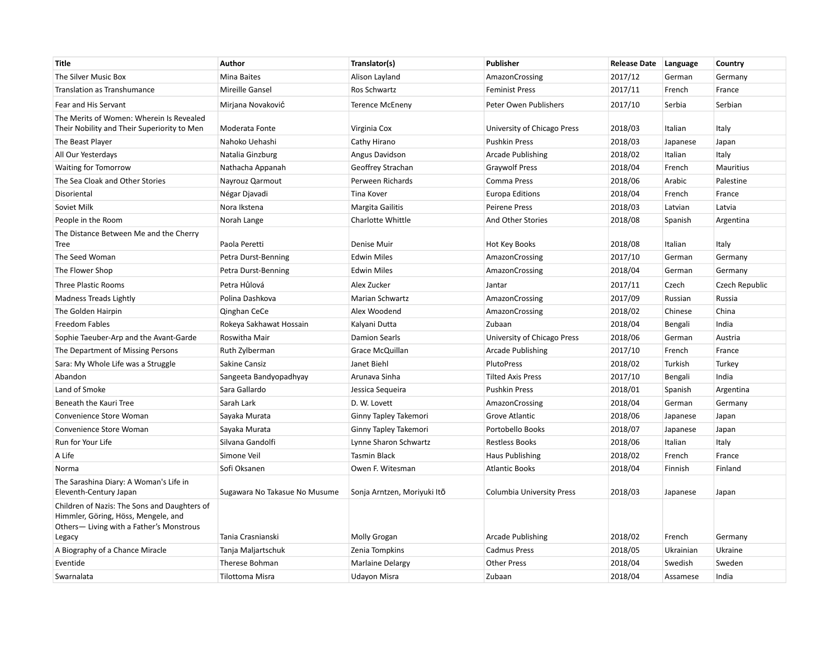| <b>Title</b>                                                                                                                             | <b>Author</b>                 | Translator(s)               | Publisher                   | <b>Release Date</b> | Language  | Country        |
|------------------------------------------------------------------------------------------------------------------------------------------|-------------------------------|-----------------------------|-----------------------------|---------------------|-----------|----------------|
| The Silver Music Box                                                                                                                     | Mina Baites                   | Alison Layland              | AmazonCrossing              | 2017/12             | German    | Germany        |
| Translation as Transhumance                                                                                                              | Mireille Gansel               | Ros Schwartz                | <b>Feminist Press</b>       | 2017/11             | French    | France         |
| Fear and His Servant                                                                                                                     | Mirjana Novaković             | <b>Terence McEneny</b>      | Peter Owen Publishers       | 2017/10             | Serbia    | Serbian        |
| The Merits of Women: Wherein Is Revealed                                                                                                 |                               |                             |                             |                     |           |                |
| Their Nobility and Their Superiority to Men                                                                                              | Moderata Fonte                | Virginia Cox                | University of Chicago Press | 2018/03             | Italian   | Italy          |
| The Beast Player                                                                                                                         | Nahoko Uehashi                | Cathy Hirano                | <b>Pushkin Press</b>        | 2018/03             | Japanese  | Japan          |
| All Our Yesterdays                                                                                                                       | Natalia Ginzburg              | Angus Davidson              | Arcade Publishing           | 2018/02             | Italian   | Italy          |
| <b>Waiting for Tomorrow</b>                                                                                                              | Nathacha Appanah              | Geoffrey Strachan           | <b>Graywolf Press</b>       | 2018/04             | French    | Mauritius      |
| The Sea Cloak and Other Stories                                                                                                          | Nayrouz Qarmout               | Perween Richards            | Comma Press                 | 2018/06             | Arabic    | Palestine      |
| Disoriental                                                                                                                              | Négar Djavadi                 | Tina Kover                  | <b>Europa Editions</b>      | 2018/04             | French    | France         |
| Soviet Milk                                                                                                                              | Nora Ikstena                  | <b>Margita Gailitis</b>     | <b>Peirene Press</b>        | 2018/03             | Latvian   | Latvia         |
| People in the Room                                                                                                                       | Norah Lange                   | <b>Charlotte Whittle</b>    | And Other Stories           | 2018/08             | Spanish   | Argentina      |
| The Distance Between Me and the Cherry                                                                                                   |                               |                             |                             |                     |           |                |
| <b>Tree</b>                                                                                                                              | Paola Peretti                 | Denise Muir                 | Hot Key Books               | 2018/08             | Italian   | Italy          |
| The Seed Woman                                                                                                                           | Petra Durst-Benning           | <b>Edwin Miles</b>          | AmazonCrossing              | 2017/10             | German    | Germany        |
| The Flower Shop                                                                                                                          | Petra Durst-Benning           | <b>Edwin Miles</b>          | AmazonCrossing              | 2018/04             | German    | Germany        |
| <b>Three Plastic Rooms</b>                                                                                                               | Petra Hůlová                  | Alex Zucker                 | Jantar                      | 2017/11             | Czech     | Czech Republic |
| Madness Treads Lightly                                                                                                                   | Polina Dashkova               | <b>Marian Schwartz</b>      | AmazonCrossing              | 2017/09             | Russian   | Russia         |
| The Golden Hairpin                                                                                                                       | Qinghan CeCe                  | Alex Woodend                | AmazonCrossing              | 2018/02             | Chinese   | China          |
| <b>Freedom Fables</b>                                                                                                                    | Rokeya Sakhawat Hossain       | Kalyani Dutta               | Zubaan                      | 2018/04             | Bengali   | India          |
| Sophie Taeuber-Arp and the Avant-Garde                                                                                                   | Roswitha Mair                 | <b>Damion Searls</b>        | University of Chicago Press | 2018/06             | German    | Austria        |
| The Department of Missing Persons                                                                                                        | Ruth Zylberman                | Grace McQuillan             | Arcade Publishing           | 2017/10             | French    | France         |
| Sara: My Whole Life was a Struggle                                                                                                       | Sakine Cansiz                 | Janet Biehl                 | <b>PlutoPress</b>           | 2018/02             | Turkish   | Turkey         |
| Abandon                                                                                                                                  | Sangeeta Bandyopadhyay        | Arunava Sinha               | <b>Tilted Axis Press</b>    | 2017/10             | Bengali   | India          |
| Land of Smoke                                                                                                                            | Sara Gallardo                 | Jessica Sequeira            | <b>Pushkin Press</b>        | 2018/01             | Spanish   | Argentina      |
| Beneath the Kauri Tree                                                                                                                   | Sarah Lark                    | D. W. Lovett                | AmazonCrossing              | 2018/04             | German    | Germany        |
| Convenience Store Woman                                                                                                                  | Sayaka Murata                 | Ginny Tapley Takemori       | Grove Atlantic              | 2018/06             | Japanese  | Japan          |
| Convenience Store Woman                                                                                                                  | Sayaka Murata                 | Ginny Tapley Takemori       | Portobello Books            | 2018/07             | Japanese  | Japan          |
| Run for Your Life                                                                                                                        | Silvana Gandolfi              | Lynne Sharon Schwartz       | <b>Restless Books</b>       | 2018/06             | Italian   | Italy          |
| A Life                                                                                                                                   | Simone Veil                   | <b>Tasmin Black</b>         | <b>Haus Publishing</b>      | 2018/02             | French    | France         |
| Norma                                                                                                                                    | Sofi Oksanen                  | Owen F. Witesman            | <b>Atlantic Books</b>       | 2018/04             | Finnish   | Finland        |
| The Sarashina Diary: A Woman's Life in<br>Eleventh-Century Japan                                                                         | Sugawara No Takasue No Musume | Sonja Arntzen, Moriyuki Itō | Columbia University Press   | 2018/03             | Japanese  | Japan          |
| Children of Nazis: The Sons and Daughters of<br>Himmler, Göring, Höss, Mengele, and<br>Others-Living with a Father's Monstrous<br>Legacy | Tania Crasnianski             | <b>Molly Grogan</b>         | Arcade Publishing           | 2018/02             | French    | Germany        |
| A Biography of a Chance Miracle                                                                                                          | Tanja Maljartschuk            | Zenia Tompkins              | <b>Cadmus Press</b>         | 2018/05             | Ukrainian | Ukraine        |
| Eventide                                                                                                                                 | Therese Bohman                | <b>Marlaine Delargy</b>     | <b>Other Press</b>          | 2018/04             | Swedish   | Sweden         |
| Swarnalata                                                                                                                               | <b>Tilottoma Misra</b>        | Udayon Misra                | Zubaan                      | 2018/04             | Assamese  | India          |